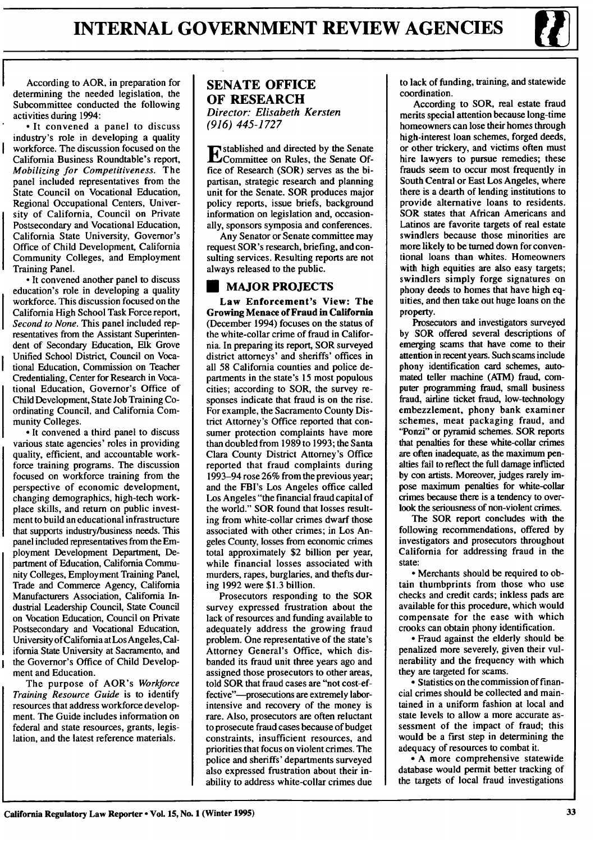According to AOR, in preparation for determining the needed legislation, the Subcommittee conducted the following activities during 1994:

**-** It convened a panel to discuss industry's role in developing a quality workforce. The discussion focused on the California Business Roundtable's report, *Mobilizing for Competitiveness.* The panel included representatives from the State Council on Vocational Education, Regional Occupational Centers, University of California, Council on Private Postsecondary and Vocational Education, California State University, Governor's Office of Child Development, California Community Colleges, and Employment Training Panel.

**-** It convened another panel to discuss education's role in developing a quality workforce. This discussion focused on the California High School Task Force report, *Second to None.* This panel included representatives from the Assistant Superintendent of Secondary Education, Elk Grove Unified School District, Council on Vocational Education, Commission on Teacher Credentialing, Center for Research in Vocational Education, Governor's Office of Child Development, State Job Training Coordinating Council, and California Community Colleges.

**-** It convened a third panel to discuss various state agencies' roles in providing quality, efficient, and accountable workforce training programs. The discussion focused on workforce training from the perspective of economic development, changing demographics, high-tech workplace skills, and return on public investment to build an educational infrastructure that supports industry/business needs. This panel included representatives from the Employment Development Department, Department of Education, California Community Colleges, Employment Training Panel, Trade and Commerce Agency, California Manufacturers Association, California Industrial Leadership Council, State Council on Vocation Education, Council on Private Postsecondary and Vocational Education, University ofCalifomia at Los Angeles, California State University at Sacramento, and the Governor's Office of Child Development and Education.

The purpose of AOR's *Workforce Training Resource Guide* is to identify resources that address workforce development. The Guide includes information on federal and state resources, grants, legislation, and the latest reference materials.

## **SENATE OFFICE OF RESEARCH** *Director: Elisabeth Kersten (916) 445-1727*

stablished and directed by the Senate Committee on Rules, the Senate **Of**fice of Research (SOR) serves as the bipartisan, strategic research and planning unit for the Senate. SOR produces major policy reports, issue briefs, background information on legislation and, occasionally, sponsors symposia and conferences.

Any Senator or Senate committee may request SOR's research, briefing, and consulting services. Resulting reports are not always released to the public.

## **U MAJOR PROJECTS**

**Law Enforcement's View: The Growing Menace of Fraud in** California (December 1994) focuses on the status of the white-collar crime of fraud in California. In preparing its report, SOR surveyed district attorneys' and sheriffs' offices in all 58 California counties and police departments in the state's 15 most populous cities; according to SOR, the survey responses indicate that fraud is on the rise. For example, the Sacramento County District Attorney's Office reported that consumer protection complaints have more than doubled from 1989 to 1993; the Santa Clara County District Attorney's Office reported that fraud complaints during 1993-94 rose 26% from the previous year; and the FBI's Los Angeles office called Los Angeles "the financial fraud capital of the world." SOR found that losses resulting from white-collar crimes dwarf those associated with other crimes; in Los Angeles County, losses from economic crimes total approximately \$2 billion per year, while financial losses associated with murders, rapes, burglaries, and thefts during 1992 were \$1.3 billion.

Prosecutors responding to the SOR survey expressed frustration about the lack of resources and funding available to adequately address the growing fraud problem. One representative of the state's Attorney General's Office, which disbanded its fraud unit three years ago and assigned those prosecutors to other areas, told SOR that fraud cases are "not cost-effective"-prosecutions are extremely laborintensive and recovery of the money is rare. Also, prosecutors are often reluctant to prosecute fraud cases because of budget constraints, insufficient resources, and priorities that focus on violent crimes. The police and sheriffs' departments surveyed also expressed frustration about their inability to address white-collar crimes due to lack of funding, training, and statewide coordination.

According to SOR, real estate fraud merits special attention because long-time homeowners can lose their homes through high-interest loan schemes, forged deeds, or other trickery, and victims often must hire lawyers to pursue remedies; these frauds seem to occur most frequently in South Central or East Los Angeles, where there is a dearth of lending institutions to provide alternative loans to residents. SOR states that African Americans and Latinos are favorite targets of real estate swindlers because those minorities are more likely to be turned down for conventional loans than whites. Homeowners with high equities are also easy targets; swindlers simply forge signatures on phony deeds to homes that have high equities, and then take out huge loans on the property.

Prosecutors and investigators surveyed **by** SOR offered several descriptions of emerging scams that have come to their attention in recent years. Such scams include phony identification card schemes, automated teller machine (ATM) fraud, computer programming fraud, small business fraud, airline ticket fraud, low-technology embezzlement, phony bank examiner schemes, meat packaging fraud, and **"Ponzi"** or pyramid schemes. SOR reports that penalties for these white-collar crimes are often inadequate, as the maximum penalties fail to reflect the full damage inflicted **by** con artists. Moreover, judges rarely impose maximum penalties for white-collar crimes because there is a tendency to overlook the seriousness of non-violent crimes.

The SOR report concludes with the following recommendations, offered **by** investigators and prosecutors throughout California for addressing fraud in the state:

**•** Merchants should be required to obtain thumbprints from those who use checks and credit cards; inkless pads are available for this procedure, which would compensate for the ease with which crooks can obtain phony identification.

**•** Fraud against the elderly should be penalized more severely, given their vulnerability and the frequency with which they are targeted for scams.

**-** Statistics on the commission of financial crimes should be collected and maintained in a uniform fashion at local and state levels to allow a more accurate assessment of the impact of fraud; this would be a first step in determining the adequacy of resources to combat it.

**- A** more comprehensive statewide database would permit better tracking of the targets of local fraud investigations